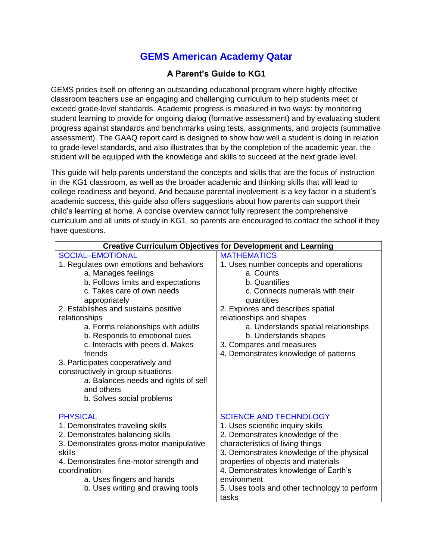## **GEMS American Academy Qatar**

## **A Parent's Guide to KG1**

GEMS prides itself on offering an outstanding educational program where highly effective classroom teachers use an engaging and challenging curriculum to help students meet or exceed grade-level standards. Academic progress is measured in two ways: by monitoring student learning to provide for ongoing dialog (formative assessment) and by evaluating student progress against standards and benchmarks using tests, assignments, and projects (summative assessment). The GAAQ report card is designed to show how well a student is doing in relation to grade-level standards, and also illustrates that by the completion of the academic year, the student will be equipped with the knowledge and skills to succeed at the next grade level.

This guide will help parents understand the concepts and skills that are the focus of instruction in the KG1 classroom, as well as the broader academic and thinking skills that will lead to college readiness and beyond. And because parental involvement is a key factor in a student's academic success, this guide also offers suggestions about how parents can support their child's learning at home. A concise overview cannot fully represent the comprehensive curriculum and all units of study in KG1, so parents are encouraged to contact the school if they have questions.

| <b>Creative Curriculum Objectives for Development and Learning</b>                                                                                                                                                                                                                                                                                                                                                                                                                               |                                                                                                                                                                                                                                                                                                                                                 |
|--------------------------------------------------------------------------------------------------------------------------------------------------------------------------------------------------------------------------------------------------------------------------------------------------------------------------------------------------------------------------------------------------------------------------------------------------------------------------------------------------|-------------------------------------------------------------------------------------------------------------------------------------------------------------------------------------------------------------------------------------------------------------------------------------------------------------------------------------------------|
| SOCIAL-EMOTIONAL                                                                                                                                                                                                                                                                                                                                                                                                                                                                                 | <b>MATHEMATICS</b>                                                                                                                                                                                                                                                                                                                              |
| 1. Regulates own emotions and behaviors<br>a. Manages feelings<br>b. Follows limits and expectations<br>c. Takes care of own needs<br>appropriately<br>2. Establishes and sustains positive<br>relationships<br>a. Forms relationships with adults<br>b. Responds to emotional cues<br>c. Interacts with peers d. Makes<br>friends<br>3. Participates cooperatively and<br>constructively in group situations<br>a. Balances needs and rights of self<br>and others<br>b. Solves social problems | 1. Uses number concepts and operations<br>a. Counts<br>b. Quantifies<br>c. Connects numerals with their<br>quantities<br>2. Explores and describes spatial<br>relationships and shapes<br>a. Understands spatial relationships<br>b. Understands shapes<br>3. Compares and measures<br>4. Demonstrates knowledge of patterns                    |
| <b>PHYSICAL</b><br>1. Demonstrates traveling skills<br>2. Demonstrates balancing skills<br>3. Demonstrates gross-motor manipulative<br>skills<br>4. Demonstrates fine-motor strength and<br>coordination<br>a. Uses fingers and hands<br>b. Uses writing and drawing tools                                                                                                                                                                                                                       | <b>SCIENCE AND TECHNOLOGY</b><br>1. Uses scientific inquiry skills<br>2. Demonstrates knowledge of the<br>characteristics of living things<br>3. Demonstrates knowledge of the physical<br>properties of objects and materials<br>4. Demonstrates knowledge of Earth's<br>environment<br>5. Uses tools and other technology to perform<br>tasks |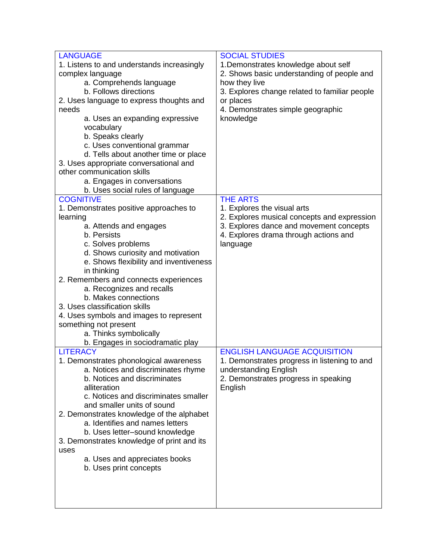| <b>LANGUAGE</b>                            | <b>SOCIAL STUDIES</b>                                                                  |
|--------------------------------------------|----------------------------------------------------------------------------------------|
| 1. Listens to and understands increasingly | 1. Demonstrates knowledge about self                                                   |
| complex language                           | 2. Shows basic understanding of people and                                             |
| a. Comprehends language                    | how they live                                                                          |
| b. Follows directions                      | 3. Explores change related to familiar people                                          |
| 2. Uses language to express thoughts and   | or places                                                                              |
| needs                                      | 4. Demonstrates simple geographic                                                      |
| a. Uses an expanding expressive            | knowledge                                                                              |
| vocabulary                                 |                                                                                        |
| b. Speaks clearly                          |                                                                                        |
| c. Uses conventional grammar               |                                                                                        |
| d. Tells about another time or place       |                                                                                        |
| 3. Uses appropriate conversational and     |                                                                                        |
| other communication skills                 |                                                                                        |
| a. Engages in conversations                |                                                                                        |
| b. Uses social rules of language           |                                                                                        |
| <b>COGNITIVE</b>                           | <b>THE ARTS</b>                                                                        |
| 1. Demonstrates positive approaches to     | 1. Explores the visual arts                                                            |
| learning                                   | 2. Explores musical concepts and expression<br>3. Explores dance and movement concepts |
| a. Attends and engages<br>b. Persists      | 4. Explores drama through actions and                                                  |
| c. Solves problems                         | language                                                                               |
| d. Shows curiosity and motivation          |                                                                                        |
| e. Shows flexibility and inventiveness     |                                                                                        |
| in thinking                                |                                                                                        |
| 2. Remembers and connects experiences      |                                                                                        |
| a. Recognizes and recalls                  |                                                                                        |
| b. Makes connections                       |                                                                                        |
| 3. Uses classification skills              |                                                                                        |
| 4. Uses symbols and images to represent    |                                                                                        |
| something not present                      |                                                                                        |
| a. Thinks symbolically                     |                                                                                        |
| b. Engages in sociodramatic play           |                                                                                        |
| <b>LITERACY</b>                            | <b>ENGLISH LANGUAGE ACQUISITION</b>                                                    |
| 1. Demonstrates phonological awareness     | 1. Demonstrates progress in listening to and                                           |
| a. Notices and discriminates rhyme         | understanding English                                                                  |
| b. Notices and discriminates               | 2. Demonstrates progress in speaking                                                   |
| alliteration                               | English                                                                                |
| c. Notices and discriminates smaller       |                                                                                        |
| and smaller units of sound                 |                                                                                        |
| 2. Demonstrates knowledge of the alphabet  |                                                                                        |
| a. Identifies and names letters            |                                                                                        |
| b. Uses letter-sound knowledge             |                                                                                        |
| 3. Demonstrates knowledge of print and its |                                                                                        |
| uses                                       |                                                                                        |
| a. Uses and appreciates books              |                                                                                        |
| b. Uses print concepts                     |                                                                                        |
|                                            |                                                                                        |
|                                            |                                                                                        |
|                                            |                                                                                        |
|                                            |                                                                                        |